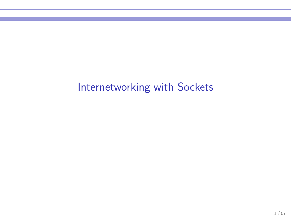# Internetworking with Sockets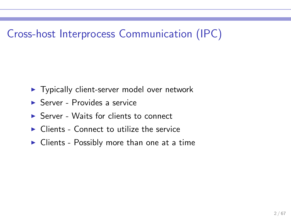# Cross-host Interprocess Communication (IPC)

- ▶ Typically client-server model over network
- $\triangleright$  Server Provides a service
- $\triangleright$  Server Waits for clients to connect
- $\triangleright$  Clients Connect to utilize the service
- $\triangleright$  Clients Possibly more than one at a time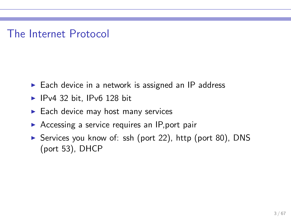#### The Internet Protocol

- $\triangleright$  Each device in a network is assigned an IP address
- $\blacktriangleright$  IPv4 32 bit, IPv6 128 bit
- $\blacktriangleright$  Each device may host many services
- $\triangleright$  Accessing a service requires an IP, port pair
- ▶ Services you know of: ssh (port 22), http (port 80), DNS (port 53), DHCP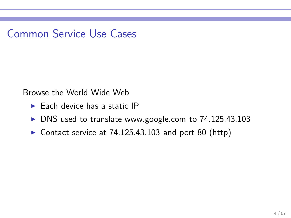Common Service Use Cases

Browse the World Wide Web

- $\blacktriangleright$  Each device has a static IP
- ▶ DNS used to translate www.google.com to 74.125.43.103
- ▶ Contact service at 74.125.43.103 and port 80 (http)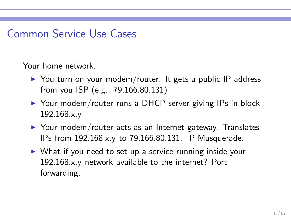### Common Service Use Cases

Your home network.

- ▶ You turn on your modem/router. It gets a public IP address from you ISP (e.g., 79.166.80.131)
- ▶ Your modem/router runs a DHCP server giving IPs in block 192.168.x.y
- ▶ Your modem/router acts as an Internet gateway. Translates IPs from 192.168.x.y to 79.166.80.131. IP Masquerade.
- ▶ What if you need to set up a service running inside your 192.168.x.y network available to the internet? Port forwarding.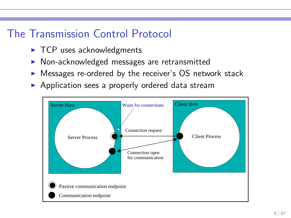### The Transmission Control Protocol

- $\blacktriangleright$  TCP uses acknowledgments
- ▶ Non-acknowledged messages are retransmitted
- ▶ Messages re-ordered by the receiver's OS network stack
- ▶ Application sees a properly ordered data stream

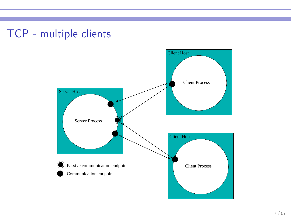### TCP - multiple clients

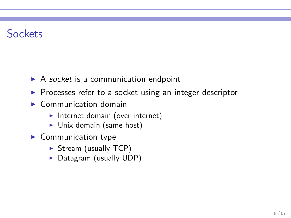### **Sockets**

- $\triangleright$  A socket is a communication endpoint
- ▶ Processes refer to a socket using an integer descriptor
- $\triangleright$  Communication domain
	- ▶ Internet domain (over internet)
	- $\triangleright$  Unix domain (same host)
- $\blacktriangleright$  Communication type
	- ▶ Stream (usually TCP)
	- ▶ Datagram (usually UDP)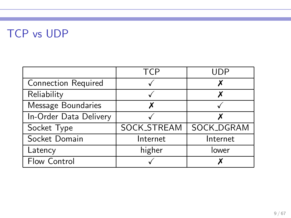# TCP vs UDP

|                            | <b>TCP</b>         |            |
|----------------------------|--------------------|------------|
| <b>Connection Required</b> |                    |            |
| Reliability                |                    |            |
| Message Boundaries         |                    |            |
| In-Order Data Delivery     |                    |            |
| Socket Type                | <b>SOCK_STREAM</b> | SOCK_DGRAM |
| Socket Domain              | Internet           | Internet   |
| Latency                    | higher             | lower      |
| Flow Control               |                    |            |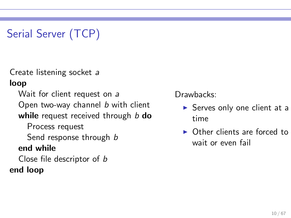# Serial Server (TCP)

Create listening socket a

loop

Wait for client request on a

Open two-way channel *b* with client

while request received through  $b$  do

Process request

Send response through b

#### end while

Close file descriptor of b end loop

Drawbacks:

- $\triangleright$  Serves only one client at a time
- ▶ Other clients are forced to wait or even fail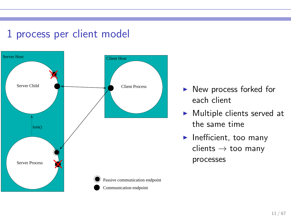#### 1 process per client model



- ▶ New process forked for each client
- ▶ Multiple clients served at the same time
- $\blacktriangleright$  Inefficient, too many  $clients \rightarrow too$  many processes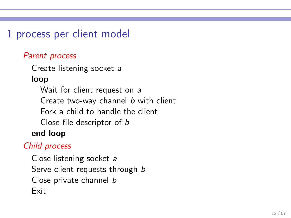1 process per client model

#### Parent process

Create listening socket a

loop

Wait for client request on a Create two-way channel b with client Fork a child to handle the client Close file descriptor of b end loop

#### Child process

Close listening socket a Serve client requests through b Close private channel b Exit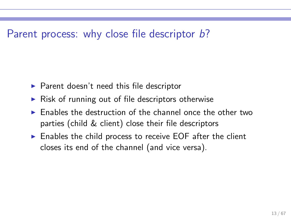#### Parent process: why close file descriptor b?

- $\blacktriangleright$  Parent doesn't need this file descriptor
- $\triangleright$  Risk of running out of file descriptors otherwise
- $\triangleright$  Enables the destruction of the channel once the other two parties (child & client) close their file descriptors
- $\triangleright$  Enables the child process to receive EOF after the client closes its end of the channel (and vice versa).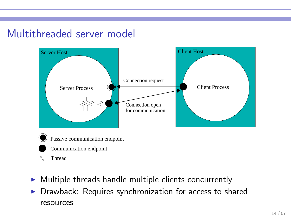### Multithreaded server model



- $\triangleright$  Multiple threads handle multiple clients concurrently
- ▶ Drawback: Requires synchronization for access to shared resources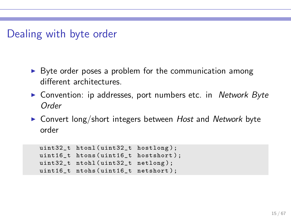#### Dealing with byte order

- ► Byte order poses a problem for the communication among different architectures.
- ▶ Convention: ip addresses, port numbers etc. in Network Byte Order
- ► Convert long/short integers between Host and Network byte order

```
uint32_t htonl(uint32_t hostlong);
uint16_t htons (uint16_t hostshort);
uint32_t ntohl(uint32_t netlong);
uint16_t ntohs ( uint16_t netshort );
```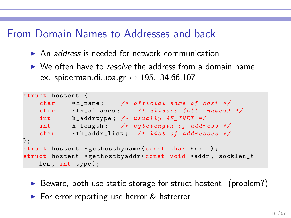#### From Domain Names to Addresses and back

- $\triangleright$  An address is needed for network communication
- ▶ We often have to *resolve* the address from a domain name. ex. spiderman.di.uoa.gr  $\leftrightarrow$  195.134.66.107

```
struct hostent {
   char *h_name; /* official name of host */
   char **h_aliases; /* aliases (alt. names) */
   int h_{=} addrtype; /* usually AF_{=} INET */int h_length; /* bytelength of address */
   char ** h_addr_list; /* list of addresses */
};
struct hostent * gethostbyname (const char * name);
struct hostent * gethostbyaddr (const void * addr, socklen_t
   len, int type);
```
- $\triangleright$  Beware, both use static storage for struct hostent. (problem?)
- ► For error reporting use herror & hstrerror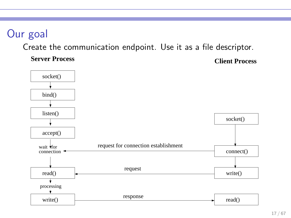# Our goal

Create the communication endpoint. Use it as a file descriptor.

**Server Process Client Process**

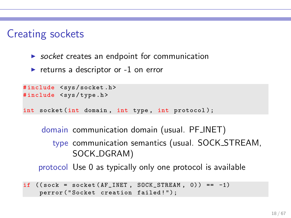### Creating sockets

- $\triangleright$  socket creates an endpoint for communication
- returns a descriptor or  $-1$  on error

```
#include <sys/socket.h>
#include <sys/type.h>
int socket (int domain , int type , int protocol );
```
domain communication domain (usual. PF INET) type communication semantics (usual. SOCK STREAM, SOCK DGRAM) protocol Use 0 as typically only one protocol is available

```
if ((\text{sock} = \text{socket}(\text{AF\_INET}, \text{SOC\_STREAM}, 0)) == -1)perror ("Socket creation failed!");
```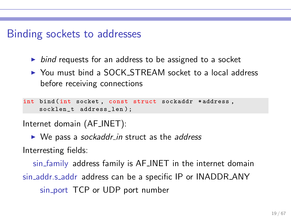#### Binding sockets to addresses

- $\triangleright$  bind requests for an address to be assigned to a socket
- ▶ You must bind a SOCK\_STREAM socket to a local address before receiving connections

int bind (int socket, const struct sockaddr \*address, socklen\_t address\_len );

Internet domain (AF INET):

 $\triangleright$  We pass a sockaddr in struct as the address

Interresting fields:

sin family address family is AF INET in the internet domain sin\_addr.s\_addr address can be a specific IP or INADDR\_ANY sin port TCP or UDP port number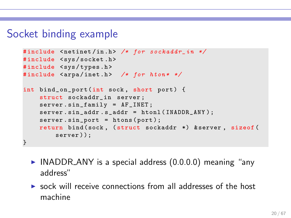#### Socket binding example

```
#include <netinet/in.h> /* for sockaddr_in */
#include <sys/socket.h>
#include <sys/types.h>
#include <arpa/inet.h> /* for hton* */
int bind_on_port(int sock, short port) {
    struct sockaddr in server:
    server . sin_family = AF_INET ;
    server \cdot sin\_addr \cdot s\_addr = htonl (INADDR \_ANY);server.sin_port = htons(port);
    return bind (sock, (struct sockaddr *) & server, sizeof (
        server)):
}
```
- $\triangleright$  INADDR ANY is a special address (0.0.0.0) meaning "any address"
- $\triangleright$  sock will receive connections from all addresses of the host machine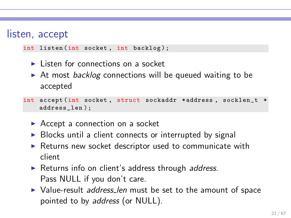#### listen, accept

int listen (int socket, int backlog);

- $\blacktriangleright$  Listen for connections on a socket
- ▶ At most *backlog* connections will be queued waiting to be accepted

```
int accept (int socket, struct sockaddr *address, socklen_t *
    address_len );
```
- $\triangleright$  Accept a connection on a socket
- ▶ Blocks until a client connects or interrupted by signal
- ▶ Returns new socket descriptor used to communicate with client
- ▶ Returns info on client's address through address. Pass NULL if you don't care.
- ▶ Value-result *address\_len* must be set to the amount of space pointed to by address (or NULL).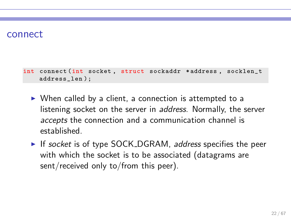#### connect

int connect (int socket , struct sockaddr \* address , socklen\_t address\_len );

- ▶ When called by a client, a connection is attempted to a listening socket on the server in *address*. Normally, the server accepts the connection and a communication channel is established.
- ► If socket is of type SOCK\_DGRAM, address specifies the peer with which the socket is to be associated (datagrams are sent/received only to/from this peer).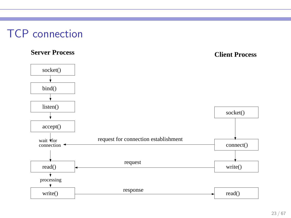#### TCP connection

#### **Server Process Client Process**

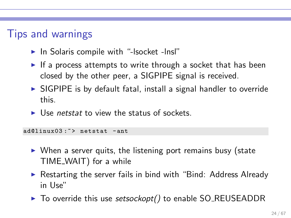### Tips and warnings

- ▶ In Solaris compile with "-Isocket -Insl"
- $\triangleright$  If a process attempts to write through a socket that has been closed by the other peer, a SIGPIPE signal is received.
- $\triangleright$  SIGPIPE is by default fatal, install a signal handler to override this.
- $\triangleright$  Use netstat to view the status of sockets.

ad@linux03:"> netstat -ant

- $\triangleright$  When a server quits, the listening port remains busy (state TIME WAIT) for a while
- ► Restarting the server fails in bind with "Bind: Address Already in Use"
- ► To override this use setsockopt() to enable SO\_REUSEADDR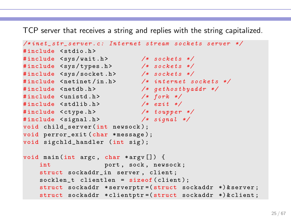TCP server that receives a string and replies with the string capitalized.

```
/* i n e t _ s t r _ s e r v e r . c : I n t e r n e t stream s o c k e t s server */
#include <stdio h>
#include <sys/wait.h> /* sockets */
#include <sys/types.h> /* sockets */
#include <sys/socket.h> /* sockets */
#include <netinet/in.h> /* internet sockets */
#include <netdb.h> /* gethostbyaddr */
# include < unistd .h > /* fork */
# include < stdlib .h > /* exit */
#include <ctype.h> /* toupper */
# include < signal .h > /* signal */
void child_server (int newsock );
void perror_exit (char *message);
void sigchld_handler (int sig);
void main (int argc , char * argv []) {
   int port, sock, newsock;
    struct sockaddr_in server , client ;
    socklen_t clientlen = sizeof (client);
    struct sockaddr * serverptr =( struct sockaddr *) & server ;
    struct sockaddr * clientptr = (struct sockaddr *) & client;
```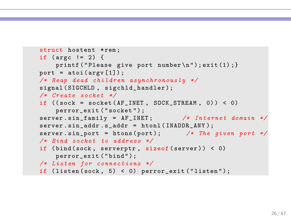```
struct hostent *rem;
if (\arg c != 2) {
    printf ("Please give port number\n"); exit(1); }
port = atoi(argv[1]);
/* Reap dead c h i l d r e n a s y n c h r o n o u s l y */
signal (SIGCHLD, sigchld_handler);
/* Create socket */
if ((\text{sock} = \text{socket}(\text{AF\_INET}, \text{SOC\_STREAM}, 0)) < 0)perror_exit ( " socket ") ;
server . sin_family = AF_INET; /* Internet domain */
server.sin_addr.s_addr = htonl(INADDR_ANY);
server . sin_port = htons ( port ); /* The given port */
/* Bind socket to a d d r e s s */
if (bind(sock, serverptr, sizeof(server)) < 0)
   perror_exit ("bind");
/* Listen for c o n n e c t i o n s */
if (listen (sock, 5) < 0) perror_exit ("listen");
```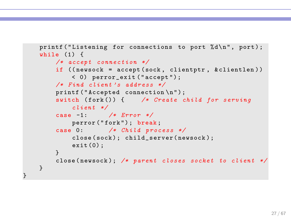```
printf ("Listening for connections to port \lambda d \nightharpoonup", port);
while (1) {
    /* accept connection */if (( newsock = accept ( sock , clientptr , & clientlen ) )
        < 0) perror_exit (" accept ");
    /* Find client 's a d d r e s s */
    printf ("Accepted connection \n");
    switch (fork()) { /* Create child for serving
        client */
    case -1: /* Error */
        perror ("fork"); break;
    case 0: /* Child process */
        close ( sock ) ; child_server ( newsock );
        ext(0):
    }
    close ( newsock ); /* parent closes socket to client */
}
```
}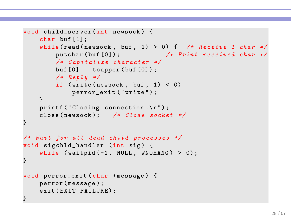```
void child_server (int newsock ) {
    char buf [1];
    while (read (newsock, buf, 1) > 0) { /* Receive 1 char */
        putchar (buf [0]); /* \; Print \; received \; char \; *//* C a p i t a l i z e c h a r a c t e r */
        buf [0] = toupper (buf[0]);
        /* Reply */
        if (write(newsock, but, 1) < 0)perror_exit (" write ") ;
    }
    printf ("Closing connection.\n");
    close ( newsock ); /* Close socket */
}
/* Wait for all dead child p r o c e s s e s */
void sigchld_handler (int sig) {
    while (waitpid(-1, NULL, WNOHANG) > 0);}
void perror_exit ( char * message ) {
    perror ( message );
    exit (EXIT_FAILURE);
}
```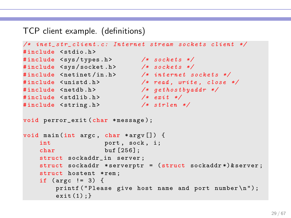#### TCP client example. (definitions)

```
/* i n e t _ s t r _ c l i e n t . c : I n t e r n e t stream s o c k e t s client */
# include < stdio .h >
#include <sys/types.h> /* sockets */
#include <sys/socket.h> /* sockets */
#include <netinet/in.h> /* internet sockets */
# include < unistd .h > /* read , write , close */
# include < netdb .h > /* g e t h o s t b y a d d r */
# include < stdlib .h > /* exit */
# include < string .h > /* strlen */
void perror_exit (char *message);
void main (int argc , char * argv []) {
   int port, sock, i;
    char buf [256];
    struct sockaddr in server :
    struct sockaddr * serverptr = ( struct sockaddr *) & server ;
    struct hostent *rem;
    if (\arg c != 3) {
        printf ("Please give host name and port number\n");
       ext(1);
```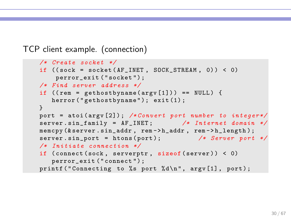TCP client example. (connection)

```
/* Create socket */
if ((\text{sock} = \text{socket}(\text{AF\_INET}, \text{SOC\_STREAM}, 0)) < 0)perror_exit ( " socket ") ;
/* Find server a d d r e s s */
if ((rem = gethostbyname(argv[1])) == NULL) {
   herror ("gethostbyname"); exit(1);
}
port = atoi(argv[2]); /*Convert port number to integer*/
server . sin_family = AF<sub>-</sub>INET; /* Internet domain */
memcpy (& server.sin_addr, rem -> h_addr, rem -> h_length);
server . sin_port = htons ( port ); /* Server port */
/* Initiate connection */
if ( connect ( sock, serverptr, sizeof ( server ) ) < 0)
   perror_exit (" connect ") ;
printf ("Connecting to %s port %d\n", argv[1], port);
```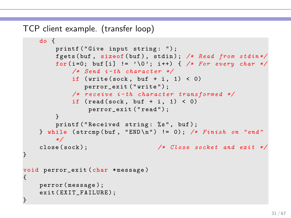TCP client example. (transfer loop)

```
do {
        printf ("Give input string: ");
        fgets ( buf , sizeof ( buf ) , stdin ) ; /* Read from stdin */
        for (i=0; buf [i] != '\0'; i++) { /* For every char */
             /* Send i - th c h a r a c t e r */
             if (write (sock, buf + i, 1) < 0)
                perror_exit (" write ") ;
             /* receive i-th character transformed */
             if (\text{read}(sock, but + i, 1) < 0)perror_exit ("read");
        }
        printf ("Received string: %s", buf);
    } while ( strcmp ( buf , " END \n" ) != 0) ; /* Finish on " end "
        */
    close ( sock ); /* Close socket and exit */
}
void perror_exit ( char * message )
{
    perror ( message );
    exit (EXIT_FAILURE);
}
```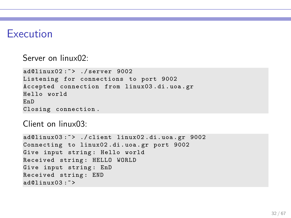#### Execution

Server on linux02:

```
ad@linux02:"> ./server 9002
Listening for connections to port 9002
Accepted connection from linux03 . di . uoa . gr
Hello world
EnD
Closing connection .
```
Client on linux03:

```
ad@linux03 :~ > ./ client linux02 . di . uoa . gr 9002
Connecting to linux02 . di . uoa . gr port 9002
Give input string : Hello world
Received string : HELLO WORLD
Give input string: EnD
Received string : END
ad@linux03: \tilde{\phantom{a}}
```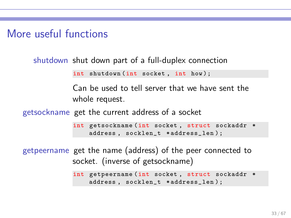More useful functions

shutdown shut down part of a full-duplex connection

int shutdown (int socket, int how);

Can be used to tell server that we have sent the whole request.

getsockname get the current address of a socket

```
int getsockname (int socket, struct sockaddr *
    address , socklen_t * address_len ) ;
```
getpeername get the name (address) of the peer connected to socket. (inverse of getsockname)

```
int getpeername (int socket , struct sockaddr *
    address , socklen_t * address_len ) ;
```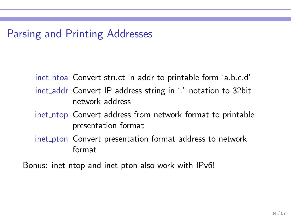### Parsing and Printing Addresses

inet ntoa Convert struct in addr to printable form 'a.b.c.d'

- inet addr Convert IP address string in '.' notation to 32bit network address
- inet ntop Convert address from network format to printable presentation format
- inet pton Convert presentation format address to network format

Bonus: inet ntop and inet pton also work with IPv6!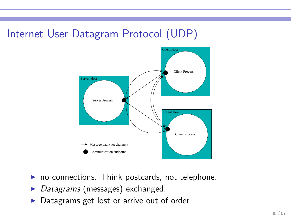### Internet User Datagram Protocol (UDP)



- $\triangleright$  no connections. Think postcards, not telephone.
- $\triangleright$  Datagrams (messages) exchanged.
- ▶ Datagrams get lost or arrive out of order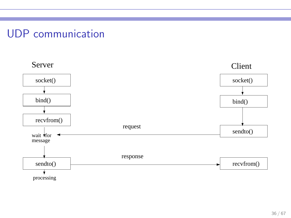#### UDP communication

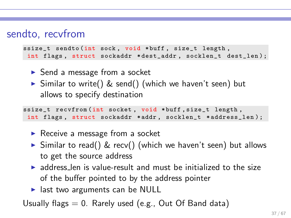#### sendto, recvfrom

```
ssize_t sendto (int sock, void *buff, size_t length,
 int flags, struct sockaddr *dest_addr, socklen_t dest_len);
```
- ► Send a message from a socket
- ▶ Similar to write() & send() (which we haven't seen) but allows to specify destination

```
ssize_t recvfrom (int socket , void * buff , size_t length ,
int flags, struct sockaddr *addr, socklen_t *address_len);
```
- $\triangleright$  Receive a message from a socket
- $\triangleright$  Similar to read() & recv() (which we haven't seen) but allows to get the source address
- $\triangleright$  address len is value-result and must be initialized to the size of the buffer pointed to by the address pointer
- $\blacktriangleright$  last two arguments can be NULL

Usually flags  $= 0$ . Rarely used (e.g., Out Of Band data)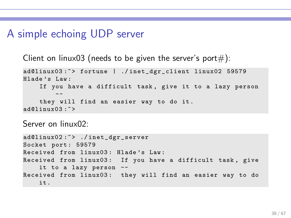#### A simple echoing UDP server

Client on linux03 (needs to be given the server's port#):

```
ad@linux03 :~ > fortune | ./ inet_dgr_client linux02 59579
Hlade 's Law :
    If you have a difficult task, give it to a lazy person
        --
    they will find an easier way to do it .
ad@limx03 : z
```
Server on linux02:

```
ad@linux02:"> ./inet_dgr_server
Socket port: 59579
Received from linux03 : Hlade 's Law :
Received from linux03: If you have a difficult task, give
   it to a lazy person --
Received from linux03: they will find an easier way to do
   it .
```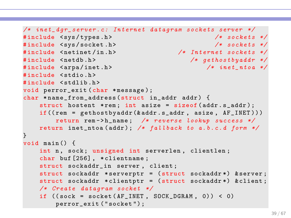```
/* i n e t _ d g r _ s e r v e r . c : I n t e r n e t d a t a g r a m s o c k e t s server */
# include < sys / types .h > /* s o c k e t s */
# include < sys / socket .h > /* s o c k e t s */
                                              # include < netinet / in .h > /* I n t e r n e t s o c k e t s */
#include <netdb.h><br>
#include <arpa/inet.h><br>
#include <arpa/inet.h><br>
/* inet ntoa */
#include <arpa/inet.h>
# include < stdio .h >
#include <stdlib.h>
void perror_exit (char *message);
char * name from address (struct in addr addr) {
     struct hostent *rem; int asize = sizeof (addr.s_addr);
    if((rem = gethostbyaddr(%addr s.add, axis, size, AF_INET)))return rem -> h_name ; /* r e v e r s e lookup s u c c e s s */
    return inet_ntoa ( addr ) ; /* f a l l b a c k to a . b . c . d form */
}
void main () {
    int n, sock; unsigned int serverlen, clientlen;
     char buf [256], *clientname;
     struct sockaddr_in server , client ;
     struct sockaddr * serverptr = (struct sockaddr *) & server;
    struct sockaddr * clientptr = (struct sockaddr *) & client;
    /* Create d a t a g r a m socket */
    if ((\text{sock} = \text{socket}(\text{AF\_INET}, \text{SOCK\_DGRAM}, 0)) < 0)perror_exit ( " socket ") ;
```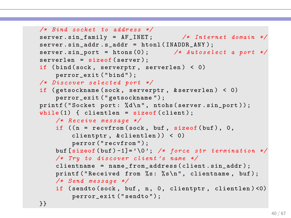```
/* Bind socket to address */server . sin_family = AF_INET; /* Internet domain */
server \cdot sin\_addr \cdot s\_addr = htonl (INADDR \_ANY);
server . sin_port = htons (0); /* Autoselect a port */
serverlen = sizeof (server);
if (bind(sock, serverptr, serverlen) < 0)
    perror_exit ("bind");
/* D i s c o v e r s e l e c t e d port */
if ( getsockname ( sock , serverptr , & serverlen ) < 0)
    perror_exit ( " getsockname ");
printf ("Socket port: %d\n", ntohs (server.sin_port));
while (1) { clientlen = sizeof (client);
    /* R e c e i v e m e s s a g e */
    if ((n = \text{recvfrom}(\text{sock}, \text{buf}, \text{sizeof}(\text{buf}), 0,clientptr , & clientlen )) < 0)
         perror ("recvfrom");
    buf [size of (buf)-1]= '\0'; /* force str termination */
    /* Try to d i s c o v e r client 's name */
    clientname = name_from_address ( client . sin_addr ) ;
    printf ("Received from %s: %s\n", clientname, buf);
    /* Send m e s s a g e */
    if ( sendto ( sock, buf, n, 0, clientptr, clientlen ) < 0)
         perror_exit ("sendto");
}}
```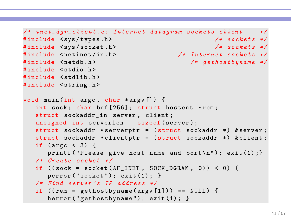```
/* i n e t _ d g r _ c l i e n t . c : I n t e r n e t d a t a g r a m s o c k e t s client */
# include < sys / types .h > /* s o c k e t s */
\texttt{\#include} < sys/socket .h><br>\texttt{\#include} < /><br>\texttt{\#include} x = \texttt{\#include} x = \texttt{\#include} x = \texttt{\#include} x = \texttt{\#include} x = \texttt{\#include} x = \texttt{\#include} x = \texttt{\#include} x = \texttt{\#include} x = \texttt{\#include} x = \texttt{\#include} x = \texttt{\#include} x = \texttt{\#include} x 
# include < netinet / in .h > /* I n t e r n e t s o c k e t s */
                                                              /* gethostbyname */
#include <stdio.h>
#include <stdlib.h>
#include <string.h>
void main (int argc , char * argv []) {
    int sock; char buf [256]; struct hostent *rem;
    struct sockaddr_in server , client ;
    unsigned int serverlen = sizeof (server);
    struct sockaddr *serverptr = (struct sockaddr *) & server;
    struct sockaddr * clientptr = (struct sockaddr *) & client;
    if (\arg c \leq 3) {
         printf ("Please give host name and port\n"); exit(1);}
    /* Create socket */
    if ((\text{sock} = \text{socket}(\text{AF\_INET}, \text{SOCK\_DGRAM}, 0)) < 0) {
         perror ("socket"); exit (1); }
    /* Find server 's IP a d d r e s s */
    if ((rem = gethostbyname(argv[1])) == NULL) {
         herror ("gethostbyname"); exit (1); }
```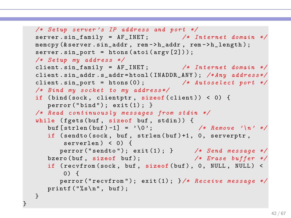```
/* Setup server's IP address and port */
server . sin_family = AF_INET; /* Internet domain */
memcpy (& server . sin_addr, rem -> h_addr, rem -> h_length);
server \cdot sin\_port = <math>htons(aticargv[2]));
/* Setup my a d d r e s s */
client . sin_f = AF_INET; /* Internet domain */client . sin_addr . s_addr = htonl ( INADDR_ANY ); /* Any a d d r e s s */
client . sin\_port = htons(0); /* \textit{Autoselect port} *//* Bind my socket to my a d d r e s s */
if (bind (sock, clientptr, sizeof (client)) < 0) {
   perror("bind"); exit(1); }/* Read c o n t i n u o u s l y m e s s a g e s from stdin */
while (fgets (buf, sizeof but, stdin)) {
   buf [strlen (buf ) -1] = '\0'; /* Remove '\n' */
   if ( sendto ( sock, buf, strlen ( buf ) +1, 0, serverptr,
      serverlen) < 0) {
      perror ("sendto"); exit (1); } /* Send message */
   bzero ( buf , sizeof buf ); /* Erase buffer */
   if ( recvfrom ( sock, buf, sizeof ( buf), 0, NULL, NULL) <
       () {
      perror ("recvfrom"); exit (1); \frac{1}{*} Receive message */
   printf ("%s\n", buf);
}
```
}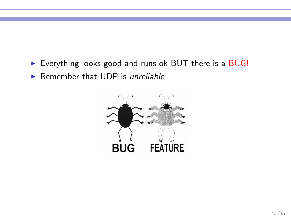- Everything looks good and runs ok BUT there is a BUG!
- $\triangleright$  Remember that UDP is *unreliable*

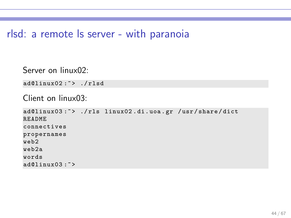#### rlsd: a remote ls server - with paranoia

```
Server on linux02:
```

```
ad@linux02:"> ./rlsd
```

```
Client on linux03:
```

```
ad@linux03:"> ./rls linux02.di.uoa.gr /usr/share/dict
README
connectives
propernames
web2
web2a
words
ad01inux03 \cdot 7
```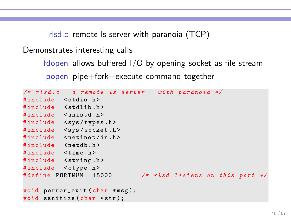rlsd.c remote ls server with paranoia (TCP)

Demonstrates interesting calls

fdopen allows buffered I/O by opening socket as file stream popen pipe+fork+execute command together

```
/* rlsd.c - a remote ls server - with paranoia */
# include < stdio .h >
# include < stdlib .h >
#include <unistd.h>
#include <sys/types.h>
#include <sys/socket.h>
#include <netinet/in.h>
#include <netdb.h>
#include <time.h>
#include <string.h>
#include <ctype.h>
#define PORTNUM 15000 /* rlsd listens on this port */
void perror_exit (char *msg);
void sanitize (char *str):
```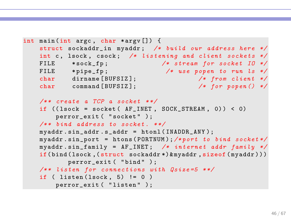```
int main (int argc , char * argv []) {
    struct sockaddr_in myaddr; /* build our address here */
    int c, lsock, csock; /* listening and client sockets */
    FILE * sock_fp ; /* stream for socket IO */
   FILE * pipe_fp ; /* use popen to run ls */
   char dirname [BUFSIZ];
   char command [ BUFSIZ ]; /* for popen () */
    /** create a TCP a socket **/if ((\text{lsock} = \text{socket}(\text{AF\_INET}, \text{SOCK\_STREAM}, 0)) < 0)perror_exit ( "socket" );
    /** bind address to socket. **/myaddr . sin_addr . s_addr = htonl ( INADDR_ANY );
    myaddr . sin_port = htons ( PORTNUM );/* port to bind socket */
    myaddr \sin_f amily = AF \cosh f / k \iint v^* \sin f / e^r and r \sin_f amily \sin_f bif(bind(lsock,(struct sockaddr *) & myaddr, sizeof(myaddr)))
           perror_exit ( "bind" );
    /* * listen for c o n n e c t i o n s with Qsize =5 * */
    if ( listen (lsock, 5) != 0 )
        perror_exit ( "listen" );
```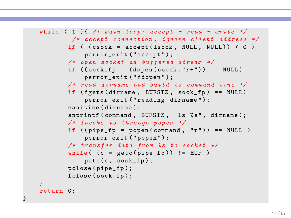```
while ( 1 ){ /* main loop : accept - read - write */
        /* accept connection , ignore client a d d r e s s */
       if ( (csck = accept(lsock, NULL, NULL)) < 0 )
            perror_exit ("accept");
       /* open socket as b u f f e r e d stream */
       if ((sock_fp = fdopen(csock, "r+")) == NULL)perror_exit ("fdopen");
       /* read dirname and build ls command line */if ( fgets ( dirname, BUFSIZ, sock_fp ) == NULL )
            perror_exit ("reading dirname");
       sanitize (dirname):
       snprintf (command, BUFSIZ, "ls %s", dirname);
       /* Invoke ls t h r o u g h popen */
       if ((pipe_f p = popen (command, "r")) == NULL)perror_exit (" popen ") ;
       /* t r a n s f e r data from ls to socket */
       while ( (c = getc(pipe_fp)) != EOF )putc(c, sock_fp);pclose ( pipe_fp ) ;
       fclose ( sock_fp ) ;
}
return 0;
```
}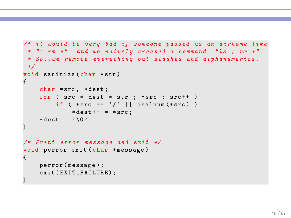```
/* it would be very bad if s o m e o n e passed us an d i r n a m e like
* "; rm *" and we n a i v e l y c r e a t e d a c o m m a n d " ls ; rm *".
 * So.. we remove every thing but slashes and alphanumerics.
 */
void sanitize (char * str)
{
    char *src, *dest;
    for (src = dest = str ; *src ; src++)if (*src == '/' || isalnum (*src) )
             *dest++ = *src:
    *dest = '\\0<sub>;</sub>
}
/* Print error m e s s a g e and exit */
void perror_exit ( char * message )
{
    perror ( message );
    exit (EXIT_FAILURE);
}
```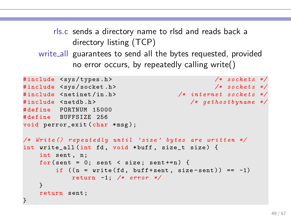rls.c sends a directory name to rlsd and reads back a directory listing (TCP) write all guarantees to send all the bytes requested, provided no error occurs, by repeatedly calling write()

```
# include < sys / types .h > /* s o c k e t s */
# include < sys / socket .h > /* s o c k e t s */
#include <netinet/in.h> /* internet sockets */
#include <netdb.h> \rightarrow /* gethostbyname */
# define PORTNUM 15000
# define BUFFSIZE 256
void perror_exit (char *msg);
/* Write () r e p e a t e d l y until ' size ' bytes are w r i t t e n */
int write_all (int fd, void *buff, size_t size) {
   int sent, n;
   for (sent = 0; sent < size; sent +=n) {
       if ((n = write (fd, buffer) = x)) == -1)return -1; /* error */
   }
   return sent ;
}
```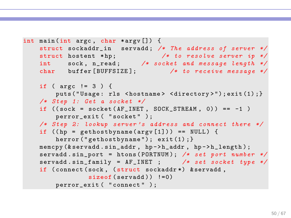```
int main (int argc , char * argv []) {
    struct sockaddr_in servadd; /* The address of server */
   struct hostent *hp; /* to resolve server ip */
   int sock, n_read; /* socket and message length */
   char buffer [BUFFSIZE]; /* to receive message */
   if ( argc != 3 ) {
        puts ("Usage: rls <hostname> <directory>"); exit(1); }
   /* Step 1: Get a socket */
   if ((\text{sock} = \text{socket}(\text{AF\_INET}, \text{SOC\_STREAM}, 0)) == -1)perror_exit ( "socket" );
   /* Step 2: lookup server's address and connect there */
    if ((hp = gethostbyname(argv[1])) == NULL) {
        herror ("gethostbyname"); exit(1); }
   memcpy (& servadd.sin_addr, hp->h_addr, hp->h_length);
    servadd . sin_port = htons ( PORTNUM ); /* set port number */
    servadd . sin_family = AF_INET ; /* set socket type */
    if ( connect ( sock, ( struct sockaddr *) & servadd,
                sizeof (served)) !=0)perror_exit ( "connect" );
```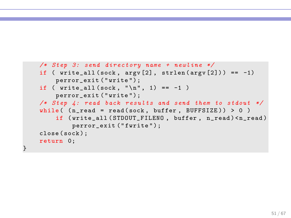```
/* Step 3: send directory name + newline */
if ( write\_all (sock, argv[2], strlen(argv[2])) == -1)perror_exit ( " write ");
if ( write\_all (sock, "\n", 1) == -1 )
    perror_exit ( " write ");
/* Step 4: read back results and send them to stdout */
while ( (n_{\text{read}} = \text{read}(\text{sock}, \text{buffer}, \text{BUFFSIZE}) ) > 0 )
    if ( write_all ( STDOUT_FILENO, buffer, n_read ) < n_read )
         perror_exit ("fwrite");
close ( sock );
return 0;
```
}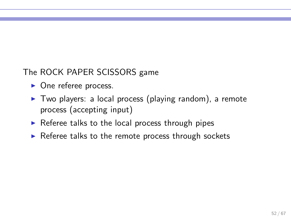The ROCK PAPER SCISSORS game

- $\triangleright$  One referee process.
- ▶ Two players: a local process (playing random), a remote process (accepting input)
- $\triangleright$  Referee talks to the local process through pipes
- $\triangleright$  Referee talks to the remote process through sockets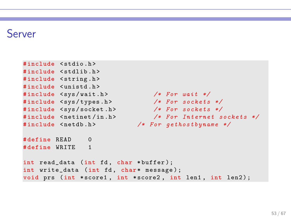#### Server

```
# include < stdio .h >
# include < stdlib .h >
#include <string.h>
#include <unistd .h>
# include < sys / wait .h > /* For wait */
# include < sys / types .h > /* For s o c k e t s */
# include < sys / socket .h > /* For s o c k e t s */
                           \sqrt{\frac{k}{m}} internet sockets */
#include <netdb.h> /* For gethostbyname */
# define READ 0
# define WRITE 1
int read_data (int fd, char *buffer);
int write_data (int fd, char* message);
void prs (int *score1, int *score2, int len1, int len2);
```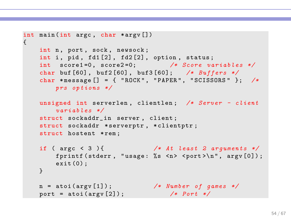```
int main (int argc , char * argv [])
{
   int n, port, sock, newsock;
   int i, pid, fd1[2], fd2[2], option, status;
   int score1=0, score2=0; /* Score variables */
   char buf [60], buf2[60], buf3[60]; /* Buffers */
   char * message [] = { " ROCK " , " PAPER " , " SCISSORS " }; /*
       prs o p t i o n s */
   unsigned int serverlen , clientlen ; /* Server - client
       v a r i a b l e s */
    struct sockaddr_in server , client ;
    struct sockaddr * serverptr, * clientptr;
   struct hostent *rem:
   if ( argc < 3 ){ /* At least 2 arguments */
       fprintf (stderr, "usage: %s <n> <port>\n", argv[0]);
       exit (0) ;
    }
   n = atoi ( argv [1]) ; /* Number of games */
   port = atoi ( argv [2]) ; /* Port */
```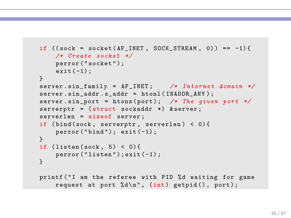```
if ((\text{sock} = \text{socket}(\text{AF\_INET}, \text{SOCK\_STREM}, 0)) == -1)/* Create socket */
   perror ("socket");
   ext(-1);}
server.sin_family = AF_INET; /* Internet domain */
server.sin_addr.s_addr = htonl(INADDR_ANY);
server . sin_port = htons ( port ); /* The given port */
serverptr = (struct sockaddr *) & server;
serverlen = sizeof server ;
if (bind(sock, serverptr, serverlen) < 0){
    perror("bind"); exist(-1);}
if (listen (sock, 5) < 0){
   perror('listen'); exit(-1);}
printf ( "I am the referee with PID %d waiting for game
    request at port \lambda d \nightharpoonup, (int) getpid(), port);
```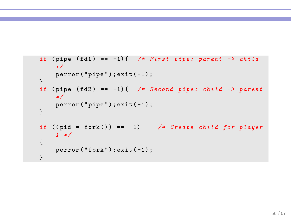```
if ( pipe ( fd1 ) == -1) { /* First pipe : parent -> child
    */
    perror("pipe"); exit (-1);}
if ( pipe ( fd2 ) == -1) { /* Second pipe : child -> parent
    */
    perror("pipe"); exit (-1);}
if ((pid = fork()) == -1) /* Create child for player
    1 */
{
   perror('fork'); exit(-1);}
```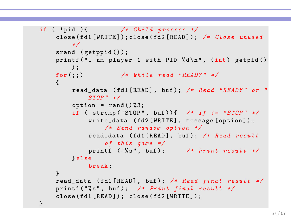```
if ( !pid ){ /* Child process */close ( fd1 [ WRITE ]) ; close ( fd2 [ READ ]) ; /* Close unused
        */
    srand (getppid());
    printf ("I am player 1 with PID %d\n", (int) getpid ()
       );
    for (;;) /* While read " READY " */
    {
        read_data ( fd1 [ READ ], buf ) ; /* Read " READY " or "
            STOP " */
        option = rand() %3;if ( strcmp ("STOP", buf)){ /* If != "STOP" */
            write_data (fd2 [WRITE], message [option]);
                /* Send random option */
            read_data ( fd1 [ READ ], buf ); /* Read result
                 of this game */
            printf ("% s" , buf ); /* Print result */
        } else
            break ;
    }
    read_data ( fd1 [ READ ], buf ); /* Read final result */
    printf ("% s" , buf ); /* Print final result */
    close (fd1 [READ]); close (fd2 [WRITE]);
}
```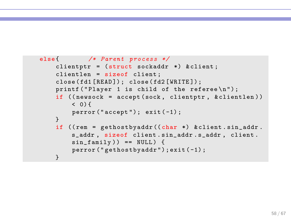```
else{ /* Parent process */
    clientptr = (struct sockaddr *) & client;clientlen = sizeof client ;
    close (fd1 [READ]); close (fd2 [WRITE]);
    printf ("Player 1 is child of the referee\langle n" \rangle;
    if (( newsock = accept ( sock , clientptr , & clientlen ) )
        (0, 5)perror("accept"); exit (-1);}
    if ((rem = gethostbyaddr ((char *) & client.sin_data).s_addr , sizeof client . sin_addr . s_addr , client .
        sin_f amily ) == NULL ) {
        perror ("gethostbyaddr"); exit (-1);
    }
```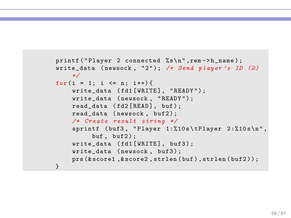```
printf ("Player 2 connected %s\n", rem ->h_name);
write_data ( newsock , "2" ); /* Send player 's ID (2)
    */
for (i = 1; i \le m; i++)write_data (fd1 [WRITE], "READY");
    write_data ( newsock , " READY ") ;
    read_data (fd2 [READ], buf);
    read data ( newsock, buf2);
    /* Create result string */
    sprintf (buf3, "Player 1:\times10s\tr\t\tPlayer 2:\times10s\n'',
         buf. buf2):
    write_data (fd1[WRITE], buf3);
    write_data ( newsock, buf3);
    prs (& score1 ,& score2 , strlen ( buf ) , strlen ( buf2 ));
}
```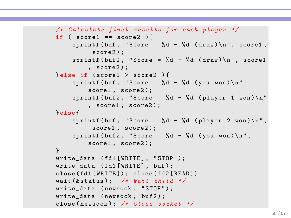```
/* C a l c u l a t e final r e s u l t s for each player */
if ( score1 == score2 ) {
    sprintf (buf, "Score = \&d - \&d (draw) \n", score1,
          score2):
    sprintf (buf2, "Score = \lambda d - \lambda d (draw) \n", score1
         score2:
} else if ( score1 > score2 ) {
    sprintf (buf, "Score = %d - %d (you won) \n",
         score1, score2):
    sprintf (buf2, "Score = %d - %d (player 1 won) \n"
         , score1, score2);
} else {
    sprintf (buf, "Score = \lambda d - \lambda d (player 2 won) \n",
          score1, score2):
    sprintf (buf2, "Score = \%d - \%d (you won) \n",
         score1, score2);
}
write_data (fd1 [WRITE], "STOP");
write_data ( fd1 [ WRITE ], buf );
close (fd1 [WRITE]); close (fd2 [READ]);
wait (& status ); /* Wait child */
write_data ( newsock , " STOP " );
write data ( newsock, buf2);
close ( newsock ); /* Close socket */
```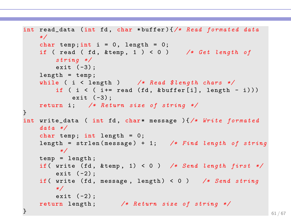```
int read_data (int fd, char *buffer){/* Read formated data
    */
    char temp; int i = 0, length = 0;
    if ( read ( fd, \& temp, 1 ) < 0 ) /* Get length of
        string */
        exit (-3);
    length = temp;while ( i < length ) /* Read $length chars */
        if ( i \leq ( i += read (fd, & buffer[i], length - i)))
           exit (-3):
    return i; /* Return size of string */
}
int write_data ( int fd, char* message ){/* Write formated
    data */
    char temp; int length = 0;
    length = strlen ( message ) + 1; /* Find length of string
         */
    temp = length ;
    if ( write (fd, \&temp, 1) < 0 ) /* Send length first */
      exit (-2):
    if ( write (fd, message, length) < 0 ) /* Send string
        */
      exit (-2);
    return length ; /* Return size of string */
\} 61/67 \, 61/67 \, 61/67 \, 61/67 \, 61/67 \, 61/67 \, 61/67 \, 61/67 \, 61/67 \, 61/67 \, 61/67 \, 61/67 \, 61/67 \, 61/67 \, 61/67 \, 61/67 \, 61/67 \, 61/67 \, 61/67 \, 61/67
```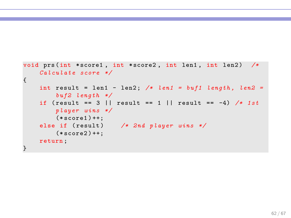```
void prs (int * score1 , int * score2 , int len1 , int len2 ) /*
   Calculate score */
{
   int result = len1 - len2 ; /* len1 = buf1 length , len2 =
       buf2 length */
    if ( result == 3 || result == 1 || result == -4) /* 1 st
       player wins */
       (*score1)++;else if (result) /* 2nd player wins */
       (*score2)++;return ;
}
```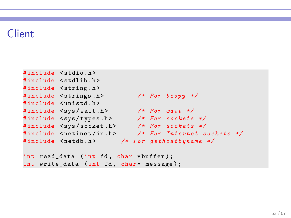#### Client

```
# include < stdio .h >
# include < stdlib .h >
#include <string.h>
# include < strings .h > /* For bcopy */
# include < unistd .h >
# include < sys / wait .h > /* For wait */
#include <sys/types.h> /* For sockets */
#include <sys/socket.h> /* For sockets */
#include <netinet/in.h> /* For Internet sockets */
#include <netdb.h> /* For gethostbyname */
```
int read\_data (int fd, char \*buffer); int write\_data (int fd, char\* message);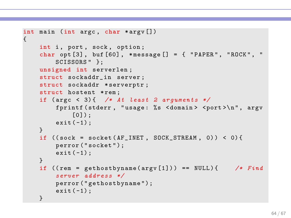```
int main (int argc, char * argv [])
{
    int i, port, sock, option;
    char opt [3], buf [60], *message [] = { "PAPER", "ROCK", "
        SCISSORS " }:
    unsigned int serverlen ;
    struct sockaddr in server:
    struct sockaddr * serverptr;
    struct hostent *rem:
    if (\text{argc} < 3){ /* At least 2 arguments */
         fprintf (stderr, "usage: %s <domain> <port>\n", argv
             [0] :
        ext(-1):
    }
    if ((\text{sock} = \text{socket}(\text{AF\_INET}, \text{SOCK\_STREAM}, 0)) < 0) {
        perror ("socket");
        exit(-1):
    }
    if ((rem = gethostbyname(argv[1])) == NULL) { /* Find
         server a d d r e s s */
        perror (" gethostbyname ");
        ext(-1):
    }
```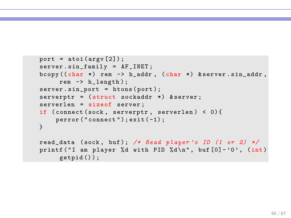```
port = atoi (argv [2]);server . sin_family = AF_INET ;
bcopy ((char *) rem -> h_aaddr, (char *) kserver.sin_addr,rem -> h_length );
server.sin_port = htons(port);
serverptr = (struct sockaddr *) & server;
serverlen = sizeof server ;
if (connect (sock, serverptr, serverlen) < 0) {
    perror ("connect"); exit (-1);
}
read_data (sock, buf); /* Read player's ID (1 or 2) */
printf ("I am player %d with PID %d\n", buf [0] - '0', (int)
     getpid () ) ;
```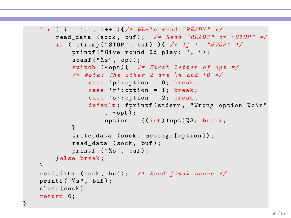```
for (i = 1; j ++) {/* While read "READY" */
    read_data ( sock , buf ) ; /* Read " READY " or " STOP " */
    if ( strcmp ( " STOP " , buf ) ){ /* If != " STOP " */
        printf ("Give round %d play: ", i);
        scan f ("%s", opt);
        switch (*opt){ /* First letter of opt */
        /* Note: The other 2 are \ln and \sqrt{0} */
             case 'p': option = 0; break;
             case 'r': option = 1; break;
             case 's ': option = 2; break;
             default: fprintf (stderr, "Wrong option %c\n"
                 , *opt ) ;
                 option = ((int)*opt)\%3; break;
        }
        write_data ( sock , message [ option ]) ;
        read_data ( sock , buf );
        printf ("%s", but);} else break ;
}
read_data ( sock , buf ); /* Read final score */
printf('%s", but);close ( sock );
return 0;
```
}